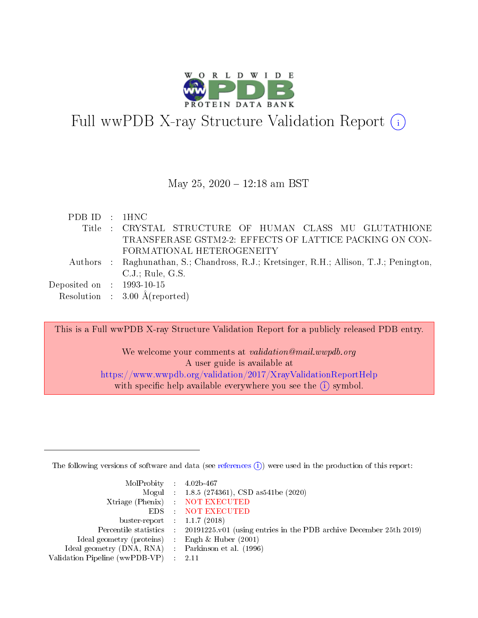

# Full wwPDB X-ray Structure Validation Report (i)

#### May 25, 2020 - 12:18 am BST

| PDB ID : 1HNC               |                                                                                         |
|-----------------------------|-----------------------------------------------------------------------------------------|
|                             | Title : CRYSTAL STRUCTURE OF HUMAN CLASS MU GLUTATHIONE                                 |
|                             | TRANSFERASE GSTM2-2: EFFECTS OF LATTICE PACKING ON CON-                                 |
|                             | FORMATIONAL HETEROGENEITY                                                               |
|                             | Authors : Raghunathan, S.; Chandross, R.J.; Kretsinger, R.H.; Allison, T.J.; Penington, |
|                             | C.J.: Rule, G.S.                                                                        |
| Deposited on : $1993-10-15$ |                                                                                         |
|                             | Resolution : $3.00 \text{ Å}$ (reported)                                                |

This is a Full wwPDB X-ray Structure Validation Report for a publicly released PDB entry.

We welcome your comments at *validation@mail.wwpdb.org* A user guide is available at <https://www.wwpdb.org/validation/2017/XrayValidationReportHelp> with specific help available everywhere you see the  $(i)$  symbol.

The following versions of software and data (see [references](https://www.wwpdb.org/validation/2017/XrayValidationReportHelp#references)  $(i)$ ) were used in the production of this report:

| $MolProbability$ 4.02b-467                          |                                                                                            |
|-----------------------------------------------------|--------------------------------------------------------------------------------------------|
|                                                     | Mogul : 1.8.5 (274361), CSD as 541be (2020)                                                |
|                                                     | Xtriage (Phenix) NOT EXECUTED                                                              |
|                                                     | EDS : NOT EXECUTED                                                                         |
| buster-report : $1.1.7(2018)$                       |                                                                                            |
|                                                     | Percentile statistics : 20191225.v01 (using entries in the PDB archive December 25th 2019) |
| Ideal geometry (proteins) : Engh $\&$ Huber (2001)  |                                                                                            |
| Ideal geometry (DNA, RNA) : Parkinson et al. (1996) |                                                                                            |
| Validation Pipeline (wwPDB-VP)                      | -2.11                                                                                      |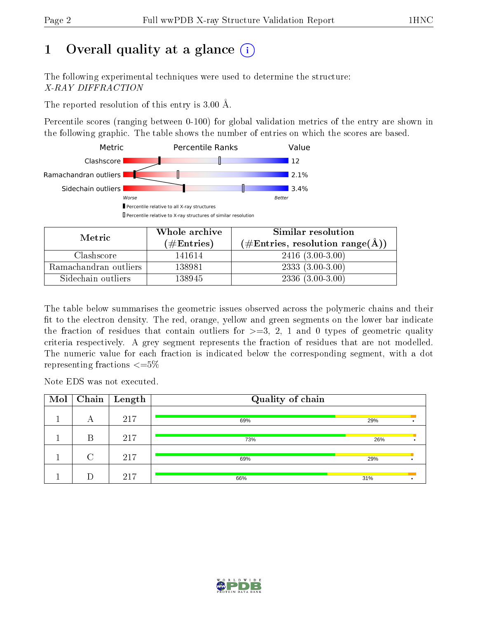# 1 [O](https://www.wwpdb.org/validation/2017/XrayValidationReportHelp#overall_quality)verall quality at a glance  $(i)$

The following experimental techniques were used to determine the structure: X-RAY DIFFRACTION

The reported resolution of this entry is 3.00 Å.

Percentile scores (ranging between 0-100) for global validation metrics of the entry are shown in the following graphic. The table shows the number of entries on which the scores are based.



| Metric                | Whole archive       | Similar resolution                                        |
|-----------------------|---------------------|-----------------------------------------------------------|
|                       | (# $\rm{Entries}$ ) | $(\#\text{Entries}, \text{resolution range}(\text{\AA}))$ |
| Clashscore            | 141614              | $2416(3.00-3.00)$                                         |
| Ramachandran outliers | 138981              | $2333(3.00-3.00)$                                         |
| Sidechain outliers    | 138945              | $2336(3.00-3.00)$                                         |

The table below summarises the geometric issues observed across the polymeric chains and their fit to the electron density. The red, orange, yellow and green segments on the lower bar indicate the fraction of residues that contain outliers for  $\geq=3$ , 2, 1 and 0 types of geometric quality criteria respectively. A grey segment represents the fraction of residues that are not modelled. The numeric value for each fraction is indicated below the corresponding segment, with a dot representing fractions  $\leq=5\%$ 

Note EDS was not executed.

| Mol | Chain  | $\vert$ Length | Quality of chain |     |  |  |  |  |
|-----|--------|----------------|------------------|-----|--|--|--|--|
|     | А      | 217            | 69%              | 29% |  |  |  |  |
|     | В      | 217            | 73%              | 26% |  |  |  |  |
|     | $\cap$ | 217            | 69%              | 29% |  |  |  |  |
|     |        | 217            | 66%              | 31% |  |  |  |  |

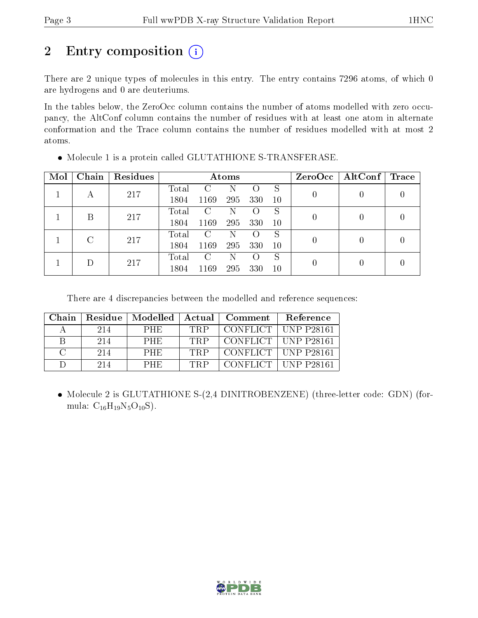# 2 Entry composition (i)

There are 2 unique types of molecules in this entry. The entry contains 7296 atoms, of which 0 are hydrogens and 0 are deuteriums.

In the tables below, the ZeroOcc column contains the number of atoms modelled with zero occupancy, the AltConf column contains the number of residues with at least one atom in alternate conformation and the Trace column contains the number of residues modelled with at most 2 atoms.

| Mol | Chain | Residues |       |               | Atoms |                  |           | $ZeroOcc \mid AltConf \mid$ | $\operatorname{Trace}$ |
|-----|-------|----------|-------|---------------|-------|------------------|-----------|-----------------------------|------------------------|
|     | А     | 217      | Total | $\mathcal{C}$ | N     |                  | S         |                             |                        |
|     |       |          | 1804  | 1169          | 295   | 330              | 10        |                             |                        |
|     | В     | 217      | Total | C             | N     |                  | S         |                             |                        |
|     |       |          | 1804  | 1169          | 295   | 330              | 10        |                             |                        |
|     |       | 217      | Total | C             | N     |                  | S         |                             |                        |
|     |       |          | 1804  | 1169          | 295   | 330              | <b>10</b> |                             |                        |
|     |       |          | Total | $\mathcal{C}$ | N     | $\left( \right)$ | S         |                             |                        |
|     | 217   | 1804     | 1169  | 295           | 330   | 10               |           |                             |                        |

Molecule 1 is a protein called GLUTATHIONE S-TRANSFERASE.

There are 4 discrepancies between the modelled and reference sequences:

| Chain         | Residue | Modelled   | Actual | Comment         | Reference             |
|---------------|---------|------------|--------|-----------------|-----------------------|
|               | 214     | <b>PHE</b> | TRP    | <b>CONFLICT</b> | <b>UNP P28161</b>     |
| В             | 214     | <b>PHE</b> | TRP    |                 | CONFLICT   UNP P28161 |
| $\mathcal{C}$ | 214     | <b>PHE</b> | TRP    |                 | CONFLICT   UNP P28161 |
|               | 214     | <b>PHE</b> | TRP    | CONFLICT -      | UNP P28161            |

• Molecule 2 is GLUTATHIONE S-(2,4 DINITROBENZENE) (three-letter code: GDN) (formula:  $C_{16}H_{19}N_5O_{10}S$ ).

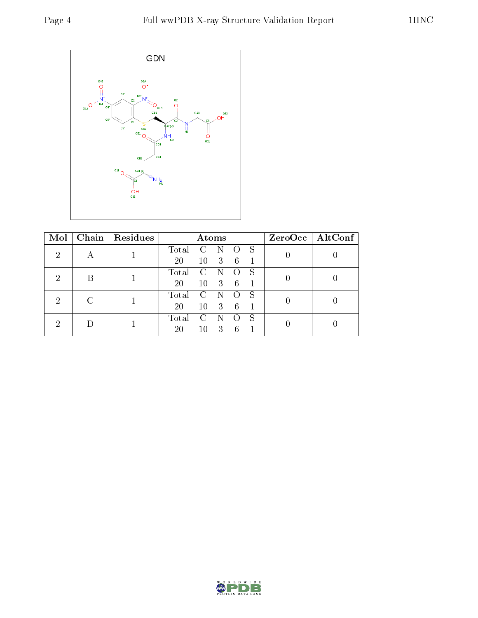

| Mol |  | Chain   Residues | Atoms                            |              |                           |                  | ZeroOcc   AltConf |  |  |
|-----|--|------------------|----------------------------------|--------------|---------------------------|------------------|-------------------|--|--|
| 2   |  |                  | Total                            | $\mathbf{C}$ |                           | $\left( \right)$ | -S                |  |  |
|     |  |                  | 20                               | 10           | $\overline{\phantom{a}3}$ | $-6$             |                   |  |  |
| 2   |  |                  | Total<br>$\overline{\mathbf{C}}$ |              |                           |                  |                   |  |  |
|     |  |                  | <b>20</b>                        | 10           | $\overline{\phantom{a}3}$ | $-6$             |                   |  |  |
| 2   |  |                  | Total                            | C            |                           |                  |                   |  |  |
|     |  | 20               | 10                               | 3            | -6                        |                  |                   |  |  |
| ച   |  |                  | Total                            | C            |                           |                  | S                 |  |  |
|     |  |                  | 20                               | 10           | 3                         | 6                |                   |  |  |

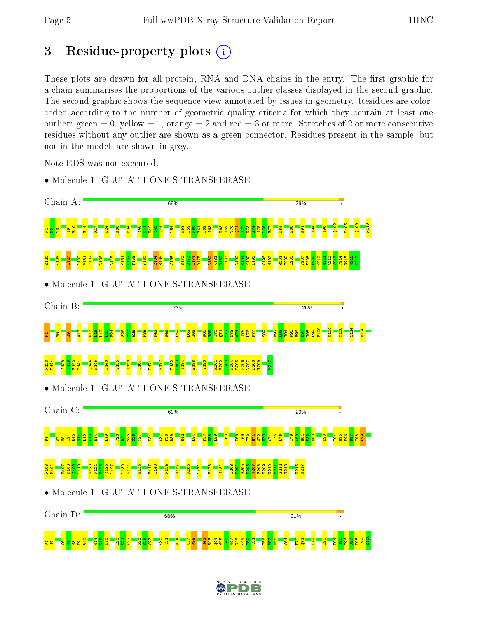# 3 Residue-property plots  $(i)$

These plots are drawn for all protein, RNA and DNA chains in the entry. The first graphic for a chain summarises the proportions of the various outlier classes displayed in the second graphic. The second graphic shows the sequence view annotated by issues in geometry. Residues are colorcoded according to the number of geometric quality criteria for which they contain at least one outlier: green  $= 0$ , yellow  $= 1$ , orange  $= 2$  and red  $= 3$  or more. Stretches of 2 or more consecutive residues without any outlier are shown as a green connector. Residues present in the sample, but not in the model, are shown in grey.

Note EDS was not executed.



• Molecule 1: GLUTATHIONE S-TRANSFERASE

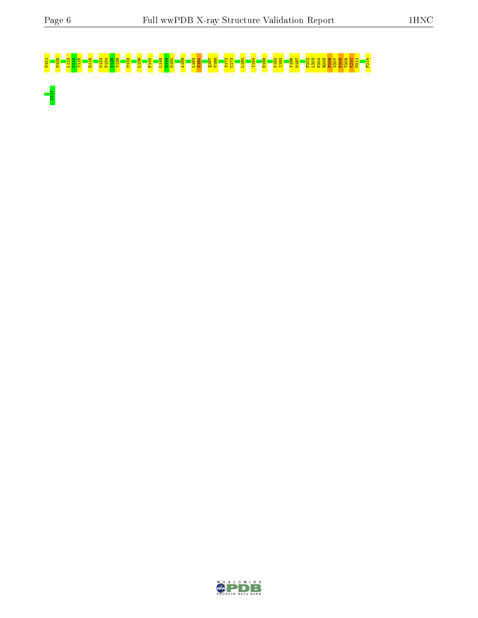$\sqrt{\frac{1}{1217}}$ 

# N101 M108 L113 C114 Y115 D118 K123 P124 E125 Y126 M133 L136 F140 L148 G149 D150 A159 L163 E164 Q167 V168 S172 C173 L180 I184 E188 K192 I193 Y196 M197 F202 L203 P204 R205 P206 V207 F208 T209 K210 M211 F214

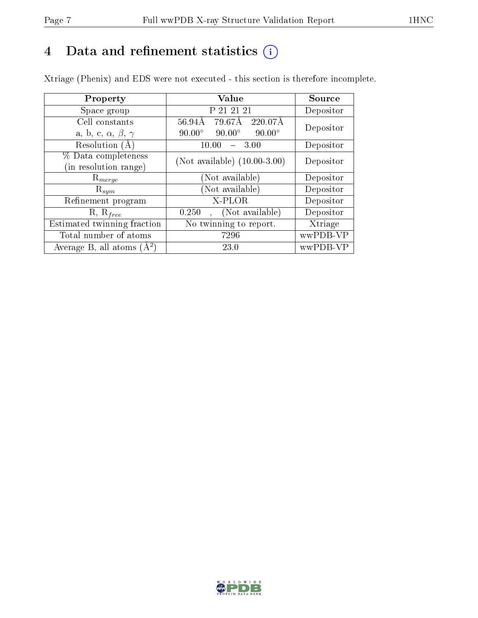# 4 Data and refinement statistics  $(i)$

Xtriage (Phenix) and EDS were not executed - this section is therefore incomplete.

| Property                               | <b>Value</b>                                    | Source    |
|----------------------------------------|-------------------------------------------------|-----------|
| Space group                            | P 21 21 21                                      | Depositor |
| Cell constants                         | 79.67Å<br>$56.94\text{\AA}$<br>220.07Å          | Depositor |
| a, b, c, $\alpha$ , $\beta$ , $\gamma$ | $90.00^\circ$<br>$90.00^\circ$<br>$90.00^\circ$ |           |
| Resolution $(A)$                       | 10.00<br>3.00                                   | Depositor |
| % Data completeness                    | (Not available) $(10.00-3.00)$                  | Depositor |
| in resolution range)                   |                                                 |           |
| $\mathrm{R}_{merge}$                   | (Not available)                                 | Depositor |
| $\mathrm{R}_{sym}$                     | (Not available)                                 | Depositor |
| Refinement program                     | X-PLOR                                          | Depositor |
| $R, R_{free}$                          | (Not available)<br>0.250                        | Depositor |
| Estimated twinning fraction            | No twinning to report.                          | Xtriage   |
| Total number of atoms                  | 7296                                            | wwPDB-VP  |
| Average B, all atoms $(A^2)$           | 23.0                                            | wwPDB-VP  |

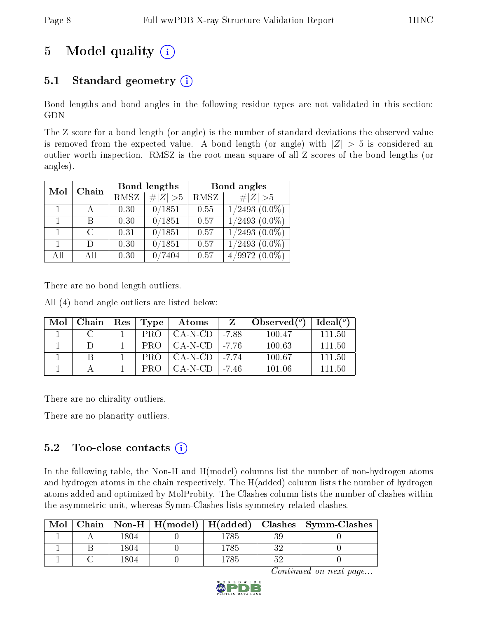# 5 Model quality  $(i)$

## 5.1 Standard geometry  $(i)$

Bond lengths and bond angles in the following residue types are not validated in this section: GDN

The Z score for a bond length (or angle) is the number of standard deviations the observed value is removed from the expected value. A bond length (or angle) with  $|Z| > 5$  is considered an outlier worth inspection. RMSZ is the root-mean-square of all Z scores of the bond lengths (or angles).

| Mol | Chain |      | Bond lengths | Bond angles |                    |  |
|-----|-------|------|--------------|-------------|--------------------|--|
|     |       | RMSZ | $\# Z  > 5$  | RMSZ        | # $ Z >5$          |  |
|     |       | 0.30 | 0/1851       | 0.55        | $1/2493$ $(0.0\%)$ |  |
|     | В     | 0.30 | 0/1851       | 0.57        | $1/2493$ $(0.0\%)$ |  |
|     | C     | 0.31 | 0/1851       | 0.57        | $1/2493$ $(0.0\%)$ |  |
| 1   | D)    | 0.30 | 0/1851       | 0.57        | $1/2493$ $(0.0\%)$ |  |
| All | All   | 0.30 | 7404         | 0.57        | $4/9972(0.0\%)$    |  |

There are no bond length outliers.

All (4) bond angle outliers are listed below:

| Mol | Chain | Res | Type       | Atoms     |           | Observed $(°)$ | Ideal <sup>(o)</sup> |
|-----|-------|-----|------------|-----------|-----------|----------------|----------------------|
|     |       |     | PRO        | CA-N-CD   | -7.88     | 100.47         | 111.50               |
|     |       |     | PRO.       | $CA-N-CD$ | l -7.76   | 100.63         | 111.50               |
|     |       |     | PRO-       | CA-N-CD   | $1 - 774$ | 100.67         | 111.50               |
|     |       |     | <b>PRO</b> | CA-N-CD   | -7.46     | 101 06         | 111.50               |

There are no chirality outliers.

There are no planarity outliers.

#### 5.2 Too-close contacts (i)

In the following table, the Non-H and H(model) columns list the number of non-hydrogen atoms and hydrogen atoms in the chain respectively. The H(added) column lists the number of hydrogen atoms added and optimized by MolProbity. The Clashes column lists the number of clashes within the asymmetric unit, whereas Symm-Clashes lists symmetry related clashes.

| Mol |      |          |    | Chain   Non-H   H(model)   H(added)   Clashes   Symm-Clashes |
|-----|------|----------|----|--------------------------------------------------------------|
|     | 1804 | 1785     |    |                                                              |
|     | 1804 | $1785\,$ | າດ |                                                              |
|     | 1804 | ' 785    | ۳٢ |                                                              |

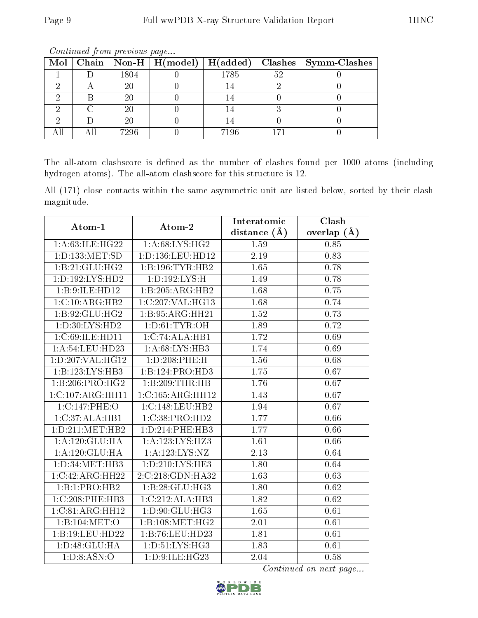| Mol |        | Chain   Non-H   $H (model)$   $H (added)$ |      |    | Clashes   Symm-Clashes |
|-----|--------|-------------------------------------------|------|----|------------------------|
|     | 1804   |                                           | 1785 | 52 |                        |
|     | $20\,$ |                                           |      |    |                        |
|     | 20     |                                           |      |    |                        |
|     | $20\,$ |                                           |      |    |                        |
|     | 20     |                                           |      |    |                        |
|     | 7296   |                                           | 7196 |    |                        |

Continued from previous page...

The all-atom clashscore is defined as the number of clashes found per 1000 atoms (including hydrogen atoms). The all-atom clashscore for this structure is 12.

All (171) close contacts within the same asymmetric unit are listed below, sorted by their clash magnitude.

|                     | Atom-2              | Interatomic    | Clash         |  |
|---------------------|---------------------|----------------|---------------|--|
| Atom-1              |                     | distance $(A)$ | overlap $(A)$ |  |
| 1:A:63:ILE:HG22     | 1: A:68: LYS: HG2   | 1.59           | 0.85          |  |
| 1: D: 133: MET: SD  | 1:D:136:LEU:HD12    | 2.19           | 0.83          |  |
| 1:B:21:GLU:HG2      | 1:B:196:TYR:HB2     | 1.65           | 0.78          |  |
| 1: D: 192: LYS: HD2 | 1: D: 192: LYS: H   | 1.49           | 0.78          |  |
| 1:B:9:ILE:HD12      | 1:B:205:ARG:HB2     | 1.68           | 0.75          |  |
| 1:C:10:ARG:HB2      | 1:C:207:VAL:HG13    | 1.68           | 0.74          |  |
| 1: B:92: GLU: HG2   | 1: B: 95: ARG: HH21 | 1.52           | 0.73          |  |
| 1:D:30:LYS:HD2      | 1: D: 61: TYR: OH   | 1.89           | 0.72          |  |
| 1:C:69:ILE:HD11     | 1:C:74:ALA:HB1      | 1.72           | 0.69          |  |
| 1:A:54:LEU:HD23     | 1: A:68: LYS: HB3   | 1.74           | 0.69          |  |
| 1:D:207:VAL:HG12    | 1:D:208:PHE:H       | 1.56           | 0.68          |  |
| 1:B:123:LYS:HB3     | 1:B:124:PRO:HD3     | 1.75           | 0.67          |  |
| 1:B:206:PRO:HG2     | 1:B:209:THR:HB      | 1.76           | 0.67          |  |
| 1:C:107:ARG:HH11    | 1:C:165:ARG:HH12    | 1.43           | 0.67          |  |
| 1:C:147:PHE:O       | 1:C:148:LEU:HB2     | 1.94           | 0.67          |  |
| 1:C:37:ALA:HB1      | 1:C:38:PRO:HD2      | 1.77           | 0.66          |  |
| 1:D:211:MET:HB2     | 1: D: 214: PHE: HB3 | 1.77           | 0.66          |  |
| 1: A: 120: GLU: HA  | 1:A:123:LYS:HZ3     | 1.61           | 0.66          |  |
| 1: A: 120: GLU: HA  | 1:A:123:LYS:NZ      | 2.13           | 0.64          |  |
| 1:D:34:MET:HB3      | 1:D:210:LYS:HE3     | 1.80           | 0.64          |  |
| 1:C:42:ARG:HH22     | 2:C:218:GDN:HA32    | 1.63           | 0.63          |  |
| 1:B:1:PRO:HB2       | 1:B:28:GLU:HG3      | 1.80           | 0.62          |  |
| 1:C:208:PHE:HB3     | 1:C:212:ALA:HB3     | 1.82           | 0.62          |  |
| 1:C:81:ARG:HH12     | 1:D:90:GLU:HG3      | 1.65           | 0.61          |  |
| 1:B:104:MET:O       | 1:B:108:MET:HG2     | 2.01           | 0.61          |  |
| 1:B:19:LEU:HD22     | 1:B:76:LEU:HD23     | 1.81           | 0.61          |  |
| 1:D:48:GLU:HA       | 1:D:51:LYS:HG3      | 1.83           | 0.61          |  |
| 1: D: 8: ASN: O     | 1:D:9:ILE:HG23      | 2.04           | 0.58          |  |

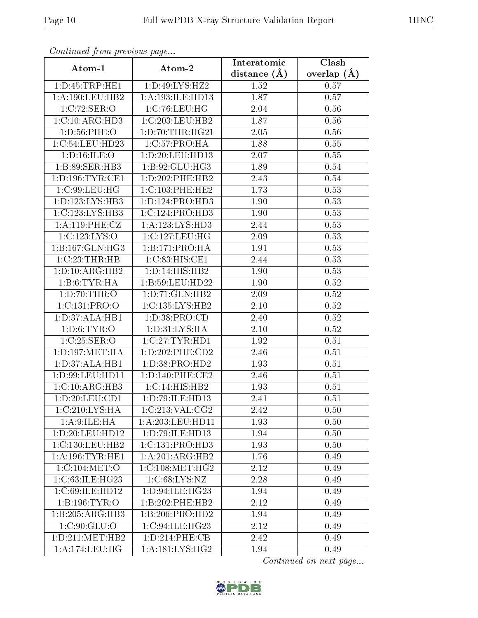| Comunaca jiom previous page               |                     | Interatomic       | Clash           |  |
|-------------------------------------------|---------------------|-------------------|-----------------|--|
| Atom-1                                    | Atom-2              | distance $(A)$    | overlap $(\AA)$ |  |
| 1: D: 45: TRP: HE1                        | 1:D:49:LYS:HZ2      | 1.52              | 0.57            |  |
| 1: A: 190: LEU: HB2                       | 1:A:193:ILE:HD13    | 1.87              | 0.57            |  |
| 1:C:72:SER:O                              | 1:C:76:LEU:HG       | 2.04              | 0.56            |  |
| 1:C:10:ARG:HD3                            | 1:C:203:LEU:HB2     | 1.87              | 0.56            |  |
| 1:D:56:PHE:O                              | 1: D: 70: THR: HG21 | 2.05              | 0.56            |  |
| 1:C:54:LEU:HD23                           | 1:C:57:PRO:HA       | 1.88              | 0.55            |  |
| 1:D:16:ILE:O                              | 1:D:20:LEU:HD13     | 2.07              | 0.55            |  |
| 1:B:89:SER:HB3                            | 1: B:92: GLU: HG3   | 1.89              | 0.54            |  |
| 1: D: 196: TYR: CE1                       | 1:D:202:PHE:HB2     | $\overline{2}.43$ | 0.54            |  |
| 1:C:99:LEU:HG                             | 1: C: 103: PHE: HE2 | 1.73              | 0.53            |  |
| 1: D: 123: LYS: HB3                       | 1: D: 124: PRO: HD3 | 1.90              | 0.53            |  |
| 1:C:123:LYS:HB3                           | 1:C:124:PRO:HD3     | 1.90              | 0.53            |  |
| 1:A:119:PHE:CZ                            | 1:A:123:LYS:HD3     | 2.44              | 0.53            |  |
| 1:C:123:LYS:O                             | 1:C:127:LEU:HG      | 2.09              | 0.53            |  |
| 1:B:167:GLN:HG3                           | 1:B:171:PRO:HA      | 1.91              | 0.53            |  |
| 1:C:23:THR:HB                             | 1: C:83: HIS: CE1   | 2.44              | 0.53            |  |
| 1:D:10:ARG:HB2                            | 1: D: 14: HIS: HB2  | 1.90              | 0.53            |  |
| 1:B:6:TYR:HA                              | 1:B:59:LEU:HD22     | 1.90              | 0.52            |  |
| 1: D:70:THR:O                             | 1:D:71:GLN:HB2      | 2.09              | 0.52            |  |
| 1:C:131:PRO:O                             | 1:C:135:LYS:HB2     | $2.10\,$          | 0.52            |  |
| 1: D:37: ALA:HB1                          | 1: D: 38: PRO: CD   | 2.40              | 0.52            |  |
| 1: D:6: TYR:O                             | 1: D: 31: LYS: HA   | 2.10              | 0.52            |  |
| 1:C:25:SER:O                              | 1:C:27:TYR:HD1      | 1.92              | 0.51            |  |
| 1: D: 197: MET: HA                        | 1:D:202:PHE:CD2     | 2.46              | 0.51            |  |
| 1:D:37:ALA:HB1                            | 1: D: 38: PRO: HD2  | 1.93              | 0.51            |  |
| 1:D:99:LEU:HD11                           | 1: D: 140: PHE: CE2 | 2.46              | 0.51            |  |
| 1:C:10:ARG:HB3                            | 1: C: 14: HIS: HB2  | 1.93              | 0.51            |  |
| 1: D: 20: LEU: CD1                        | 1: D: 79: ILE: HD13 | 2.41              | 0.51            |  |
| $1:C:210:\overline{\text{LYS:H}\text{A}}$ | 1:C:213:VAL:CG2     | 2.42              | 0.50            |  |
| 1: A:9: ILE: HA                           | 1:A:203:LEU:HD11    | 1.93              | 0.50            |  |
| 1:D:20:LEU:HD12                           | 1: D: 79: ILE: HD13 | 1.94              | 0.50            |  |
| 1:C:130:LEU:HB2                           | 1:C:131:PRO:HD3     | 1.93              | 0.50            |  |
| 1: A: 196: TYR: HE1                       | 1:A:201:ARG:HB2     | 1.76              | 0.49            |  |
| 1:C:104:MET:O                             | 1:C:108:MET:HG2     | 2.12              | 0.49            |  |
| 1:C:63:ILE:HG23                           | 1: C:68: LYS:NZ     | 2.28              | 0.49            |  |
| 1:C:69:ILE:HD12                           | 1:D:94:ILE:HG23     | 1.94              | 0.49            |  |
| 1:B:196:TYR:O                             | 1:B:202:PHE:HB2     | 2.12              | 0.49            |  |
| $1:B:205:\overline{\text{ARG:HB3}}$       | 1:B:206:PRO:HD2     | 1.94              | 0.49            |  |
| 1:C:90:GLU:O                              | 1:C:94:ILE:HG23     | 2.12              | 0.49            |  |
| 1: D: 211: MET: HB2                       | 1: D: 214: PHE: CB  | 2.42              | 0.49            |  |
| 1: A:174:LEU:HG                           | 1: A:181:LYS:HG2    | 1.94              | 0.49            |  |

Continued from previous page.

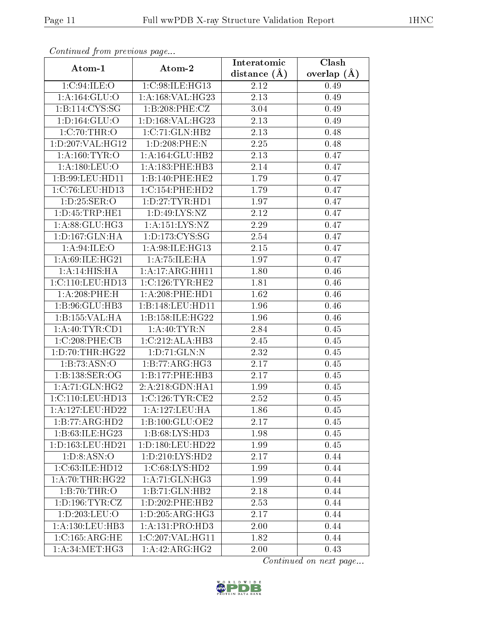| Continued from previous page |                      | Interatomic       | Clash         |  |
|------------------------------|----------------------|-------------------|---------------|--|
| Atom-1                       | Atom-2               | distance $(A)$    | overlap $(A)$ |  |
| 1: C:94: ILE: O              | 1:C:98:ILE:HG13      | 2.12              | 0.49          |  |
| 1: A: 164: GLU: O            | 1:A:168:VAL:HG23     | 2.13              | 0.49          |  |
| 1:B:114:CYS:SG               | 1:B:208:PHE:CZ       | 3.04              | 0.49          |  |
| 1: D: 164: GLU: O            | 1:D:168:VAL:HG23     | 2.13              | 0.49          |  |
| 1:C:70:THR:O                 | 1:C:71:GLN:HB2       | 2.13              | 0.48          |  |
| 1:D:207:VAL:HG12             | 1:D:208:PHE:N        | 2.25              | 0.48          |  |
| 1: A:160: TYR:O              | 1: A:164: GLU:HB2    | 2.13              | 0.47          |  |
| 1: A: 180: LEU: O            | 1: A: 183:PHE: HB3   | 2.14              | 0.47          |  |
| 1:B:99:LEU:HD11              | 1:B:140:PHE:HE2      | 1.79              | 0.47          |  |
| 1:C:76:LEU:HD13              | 1:C:154:PHE:HD2      | 1.79              | 0.47          |  |
| 1: D:25: SER:O               | 1: D: 27: TYR: HD1   | 1.97              | 0.47          |  |
| 1: D: 45: TRP: HE1           | 1: D:49: LYS: NZ     | 2.12              | 0.47          |  |
| 1: A:88: GLU:HG3             | 1:A:151:LYS:NZ       | 2.29              | 0.47          |  |
| 1: D: 167: GLN: HA           | 1: D: 173: CYS: SG   | 2.54              | 0.47          |  |
| 1: A:94: ILE: O              | 1:A:98:ILE:HG13      | 2.15              | 0.47          |  |
| 1: A:69: ILE: HG21           | 1: A: 75: ILE: HA    | 1.97              | 0.47          |  |
| 1:A:14:HIS:HA                | 1:A:17:ARG:HH11      | 1.80              | 0.46          |  |
| 1:C:110:LEU:HD13             | 1:C:126:TYR:HE2      | 1.81              | 0.46          |  |
| 1:A:208:PHE:H                | $1: A:208:$ PHE:HD1  | 1.62              | 0.46          |  |
| 1:B:96:GLU:HB3               | 1:B:148:LEU:HD11     | 1.96              | 0.46          |  |
| 1:B:155:VAL:HA               | 1:B:158:ILE:HG22     | 1.96              | 0.46          |  |
| 1: A:40: TYR:CD1             | 1: A:40: TYR:N       | 2.84              | 0.45          |  |
| 1:C:208:PHE:CB               | 1:C:212:ALA:HB3      | 2.45              | 0.45          |  |
| 1: D: 70: THR: HG22          | 1: D: 71: GLN: N     | 2.32              | 0.45          |  |
| 1:B:73:ASN:O                 | 1:B:77:ARG:HG3       | $\overline{2.17}$ | 0.45          |  |
| 1:B:138:SER:OG               | 1:B:177:PHE:HB3      | 2.17              | 0.45          |  |
| 1: A:71: GLN: HG2            | 2:A:218:GDN:HA1      | 1.99              | 0.45          |  |
| 1:C:110:LEU:HD13             | 1:C:126:TYR:CE2      | 2.52              | 0.45          |  |
| 1:A:127:LEU:HD22             | 1: A: 127: LEU: HA   | 1.86              | 0.45          |  |
| 1:B:77:ARG:HD2               | 1:B:100:GLU:OE2      | 2.17              | 0.45          |  |
| 1: B:63: ILE: HG23           | 1:B:68:LYS:HD3       | 1.98              | 0.45          |  |
| 1: D: 163: LEU: HD21         | 1: D: 180: LEU: HD22 | 1.99              | 0.45          |  |
| 1: D: 8: ASN: O              | 1: D: 210: LYS: HD2  | 2.17              | 0.44          |  |
| 1:C:63:ILE:HD12              | 1:C:68:LYS:HD2       | 1.99              | 0.44          |  |
| 1: A:70:THR:HG22             | 1: A:71: GLN: HG3    | 1.99              | 0.44          |  |
| 1:B:70:THR:O                 | 1:B:71:GLN:HB2       | 2.18              | 0.44          |  |
| 1: D: 196: TYR: CZ           | 1:D:202:PHE:HB2      | 2.53              | 0.44          |  |
| 1:D:203:LEU:O                | 1: D: 205: ARG: HG3  | 2.17              | 0.44          |  |
| 1: A: 130: LEU: HB3          | 1: A: 131: PRO: HD3  | 2.00              | 0.44          |  |
| 1:C:165:ARG:HE               | 1:C:207:VAL:HG11     | 1.82              | 0.44          |  |
| 1: A:34:MET:HG3              | 1:A:42:ARG:HG2       | 2.00              | 0.43          |  |

Continued from previous page.

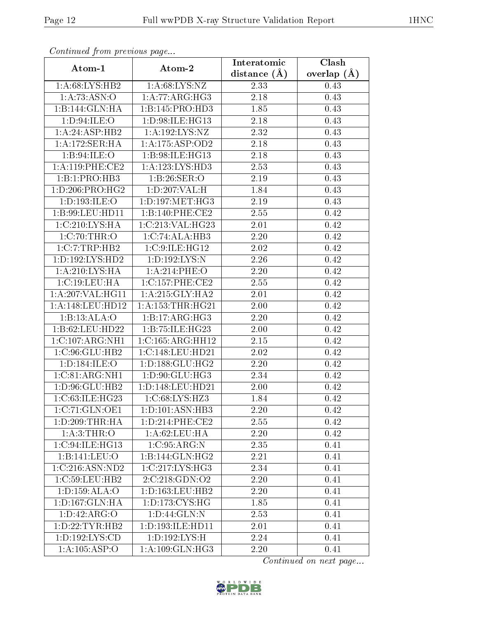| Commuca from previous page |                      | Interatomic       | Clash           |  |  |
|----------------------------|----------------------|-------------------|-----------------|--|--|
| Atom-1                     | Atom-2               | distance $(A)$    | overlap $(\AA)$ |  |  |
| 1:A:68:LYS:HB2             | 1: A:68: LYS:NZ      | 2.33              | 0.43            |  |  |
| 1:A:73:ASN:O               | 1:A:77:ARG:HG3       | $\overline{2.18}$ | 0.43            |  |  |
| 1:B:144:GLN:HA             | 1:B:145:PRO:HD3      | 1.85              | 0.43            |  |  |
| 1:D:94:ILE:O               | 1:D:98:ILE:HG13      | 2.18              | 0.43            |  |  |
| 1:A:24:ASP:HB2             | 1:A:192:LYS:NZ       | 2.32              | 0.43            |  |  |
| 1:A:172:SER:HA             | 1:A:175:ASP:OD2      | 2.18              | 0.43            |  |  |
| 1: B:94: ILE: O            | 1:B:98:ILE:HG13      | 2.18              | 0.43            |  |  |
| 1:A:119:PHE:CE2            | 1:A:123:LYS:HD3      | 2.53              | 0.43            |  |  |
| 1:B:1:PRO:HB3              | 1:B:26:SER:O         | 2.19              | 0.43            |  |  |
| 1: D: 206: PRO:HG2         | 1: D: 207: VAL:H     | 1.84              | 0.43            |  |  |
| 1: D: 193: ILE: O          | 1: D: 197: MET:HG3   | 2.19              | 0.43            |  |  |
| 1:B:99:LEU:HD11            | 1:B:140:PHE:CE2      | 2.55              | 0.42            |  |  |
| 1:C:210:LYS:HA             | 1:C:213:VAL:HG23     | 2.01              | 0.42            |  |  |
| 1:C:70:THR:O               | 1:C:74:ALA:HB3       | 2.20              | 0.42            |  |  |
| 1:C:7:TRP:HB2              | 1:C:9:ILE:HG12       | 2.02              | 0.42            |  |  |
| 1: D: 192: LYS: HD2        | 1: D: 192: LYS: N    | 2.26              | 0.42            |  |  |
| 1: A:210:LYS:HA            | 1:A:214:PHE:O        | 2.20              | 0.42            |  |  |
| 1:C:19:LEU:HA              | 1:C:157:PHE:CE2      | 2.55              | 0.42            |  |  |
| 1:A:207:VAL:HG11           | 1: A:215: GLY:HA2    | 2.01              | 0.42            |  |  |
| 1:A:148:LEU:HD12           | 1: A: 153: THR: HG21 | 2.00              | 0.42            |  |  |
| 1:B:13:ALA:O               | 1:B:17:ARG:HG3       | 2.20              | 0.42            |  |  |
| 1:B:62:LEU:HD22            | 1:B:75:ILE:HG23      | 2.00              | 0.42            |  |  |
| 1:C:107:ARG:NH1            | 1:C:165:ARG:HH12     | 2.15              | 0.42            |  |  |
| 1:C:96:GLU:HB2             | 1:C:148:LEU:HD21     | 2.02              | 0.42            |  |  |
| 1: D: 184: ILE: O          | 1: D: 188: GLU: HG2  | $2.20\,$          | 0.42            |  |  |
| 1:C:81:ARG:NH1             | 1:D:90:GLU:HG3       | 2.34              | 0.42            |  |  |
| 1:D:96:GLU:HB2             | 1:D:148:LEU:HD21     | 2.00              | 0.42            |  |  |
| 1:C:63:ILE:HG23            | 1: C:68: LYS: HZ3    | 1.84              | 0.42            |  |  |
| 1:C:71:GLN:OE1             | 1: D: 101: ASN: HB3  | 2.20              | 0.42            |  |  |
| 1: D: 209: THR: HA         | 1: D: 214: PHE: CE2  | 2.55              | 0.42            |  |  |
| 1: A:3:THR:O               | 1: A:62:LEU:HA       | 2.20              | 0.42            |  |  |
| 1:C:94:ILE:HG13            | 1:C:95:ARG:N         | 2.35              | 0.41            |  |  |
| 1:B:141:LEU:O              | 1:B:144:GLN:HG2      | 2.21              | 0.41            |  |  |
| 1:C:216:ASN:ND2            | 1:C:217:LYS:HG3      | 2.34              | 0.41            |  |  |
| 1:C:59:LEU:HB2             | 2:C:218:GDN:O2       | 2.20              | 0.41            |  |  |
| 1:D:159:ALA:O              | 1: D: 163: LEU: HB2  | 2.20              | 0.41            |  |  |
| 1: D: 167: GLN: HA         | 1: D: 173: CYS: HG   | 1.85              | 0.41            |  |  |
| 1: D: 42: ARG: O           | 1: D: 44: GLN: N     | 2.53              | 0.41            |  |  |
| 1: D: 22: TYR: HB2         | 1:D:193:ILE:HD11     | 2.01              | 0.41            |  |  |
| 1: D: 192: LYS: CD         | 1: D: 192: LYS: H    | 2.24              | 0.41            |  |  |
| 1:A:105:ASP:O              | 1: A:109: GLN: HG3   | 2.20              | 0.41            |  |  |

Continued from previous page.

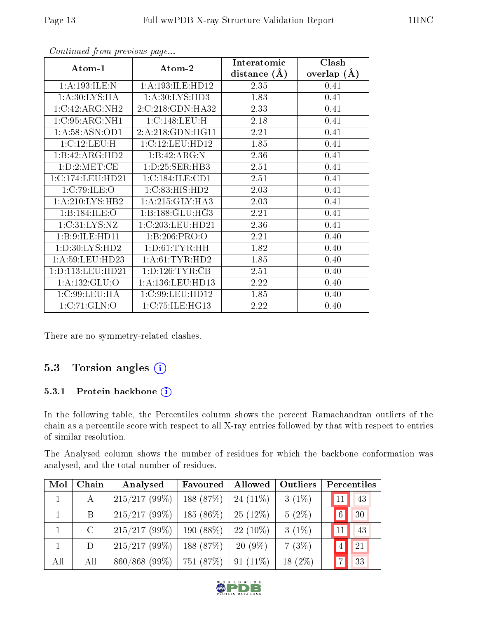| Atom-1             | Atom-2               | Interatomic      | Clash         |  |
|--------------------|----------------------|------------------|---------------|--|
|                    |                      | distance $(\AA)$ | overlap $(A)$ |  |
| 1:A:193:ILE:N      | 1:A:193:ILE:HD12     | 2.35             | 0.41          |  |
| 1: A:30: LYS: HA   | 1:A:30:LYS:HD3       | 1.83             | 0.41          |  |
| 1:C:42:ARG:NH2     | 2:C:218:GDN:HA32     | 2.33             | 0.41          |  |
| 1:C:95:ARG:NH1     | 1:C:148:LEU:H        | 2.18             | 0.41          |  |
| 1: A:58: ASN:OD1   | 2:A:218:GDN:HG11     | 2.21             | 0.41          |  |
| 1:C:12:LEU:H       | 1:C:12:LEU:HD12      | 1.85             | 0.41          |  |
| 1:B:42:ARG:HD2     | 1:B:42:ARG:N         | 2.36             | 0.41          |  |
| 1: D: 2: MET: CE   | 1: D: 25: SER: HB3   | 2.51             | 0.41          |  |
| 1:C:174:LEU:HD21   | 1:C:184:ILE:CD1      | 2.51             | 0.41          |  |
| 1:C:79:ILE:O       | 1:C:83:HIS:HD2       | 2.03             | 0.41          |  |
| 1: A:210: LYS: HB2 | 1: A:215: GLY:HA3    | 2.03             | 0.41          |  |
| 1:B:184:ILE:O      | 1:B:188:GLU:HG3      | 2.21             | 0.41          |  |
| 1: C:31: LYS:NZ    | 1:C:203:LEU:HD21     | 2.36             | 0.41          |  |
| 1: B: 9: ILE: HD11 | 1:B:206:PRO:O        | 2.21             | 0.40          |  |
| 1:D:30:LYS:HD2     | 1: D: 61: TYR: HH    | 1.82             | 0.40          |  |
| 1: A:59: LEU: HD23 | 1: A:61:TYR:HD2      | 1.85             | 0.40          |  |
| 1:D:113:LEU:HD21   | 1: D: 126: TYR: CB   | 2.51             | 0.40          |  |
| 1: A: 132: GLU: O  | 1: A: 136: LEU: HD13 | 2.22             | 0.40          |  |
| 1: C:99: LEU: HA   | 1:C:99:LEU:HD12      | 1.85             | 0.40          |  |
| 1:C:71:GLN:O       | 1:C:75:ILE:HG13      | 2.22             | 0.40          |  |

Continued from previous page...

There are no symmetry-related clashes.

### 5.3 Torsion angles (i)

#### 5.3.1 Protein backbone (i)

In the following table, the Percentiles column shows the percent Ramachandran outliers of the chain as a percentile score with respect to all X-ray entries followed by that with respect to entries of similar resolution.

The Analysed column shows the number of residues for which the backbone conformation was analysed, and the total number of residues.

| Mol | Chain         | Analysed         | Favoured             | Allowed    | Outliers  |                | Percentiles |
|-----|---------------|------------------|----------------------|------------|-----------|----------------|-------------|
|     | $\bf{A}$      | $215/217(99\%)$  | 188(87%)             | $24(11\%)$ | $3(1\%)$  | 11             | 43          |
|     | B             | $215/217(99\%)$  | $185(86\%)$          | $25(12\%)$ | $5(2\%)$  | $\overline{6}$ | 30          |
|     | $\mathcal{C}$ | 215/217(99%)     | $190(88\%)$          | $22(10\%)$ | $3(1\%)$  | 11             | 43          |
|     | D             | $215/217(99\%)$  | 188 (87%)            | $20(9\%)$  | $7(3\%)$  |                | 21          |
| All | All           | $860/868$ (99\%) | 751 (87%)   91 (11%) |            | $18(2\%)$ |                | 33          |



R L D W I D E DB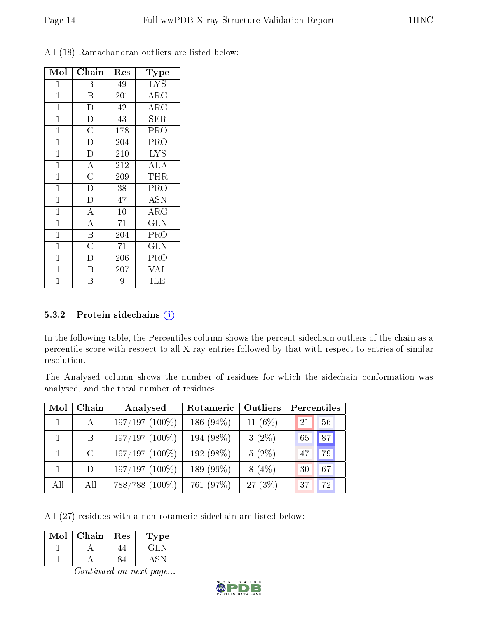| Mol            | Chain                 | Res | Type        |
|----------------|-----------------------|-----|-------------|
| 1              | Β                     | 49  | <b>LYS</b>  |
| $\mathbf 1$    | B                     | 201 | $\rm{ARG}$  |
| $\mathbf{1}$   | D                     | 42  | $\rm{ARG}$  |
| $\mathbf 1$    | $\overline{D}$        | 43  | ${\rm SER}$ |
| $\mathbf{1}$   | $\overline{\text{C}}$ | 178 | <b>PRO</b>  |
| $\mathbf 1$    | $\overline{\rm D}$    | 204 | PRO         |
| $\mathbf 1$    | $\overline{\rm D}$    | 210 | <b>LYS</b>  |
| $\mathbf 1$    | $\overline{\rm A}$    | 212 | ALA         |
| $\mathbf{1}$   | $\overline{\rm C}$    | 209 | <b>THR</b>  |
| $\mathbf 1$    | $\overline{\rm D}$    | 38  | PRO         |
| $\mathbf 1$    | $\overline{\rm D}$    | 47  | <b>ASN</b>  |
| $\mathbf 1$    | $\overline{\rm A}$    | 10  | $\rm{ARG}$  |
| $\mathbf 1$    | $\overline{\rm A}$    | 71  | <b>GLN</b>  |
| $\mathbf 1$    | $\overline{\text{B}}$ | 204 | PRO         |
| $\mathbf{1}$   | $\overline{\rm C}$    | 71  | <b>GLN</b>  |
| $\mathbf 1$    | D                     | 206 | PRO         |
| $\mathbf{1}$   | B                     | 207 | VAL         |
| $\overline{1}$ | В                     | 9   | ILE         |

All (18) Ramachandran outliers are listed below:

#### 5.3.2 Protein sidechains  $(i)$

In the following table, the Percentiles column shows the percent sidechain outliers of the chain as a percentile score with respect to all X-ray entries followed by that with respect to entries of similar resolution.

The Analysed column shows the number of residues for which the sidechain conformation was analysed, and the total number of residues.

| Mol          | Chain        | Analysed         | Rotameric    | Outliers   | Percentiles |    |
|--------------|--------------|------------------|--------------|------------|-------------|----|
| $\mathbf{1}$ | $\mathbf{A}$ | $197/197(100\%)$ | 186 $(94\%)$ | 11 $(6\%)$ | 21          | 56 |
| $\mathbf{1}$ | B            | $197/197(100\%)$ | 194 (98%)    | $3(2\%)$   | 65          | 87 |
|              | $\rm C$      | $197/197(100\%)$ | 192 (98%)    | $5(2\%)$   | 47          | 79 |
|              | D            | $197/197(100\%)$ | 189 (96%)    | $8(4\%)$   | 30          | 67 |
| All          | All          | 788/788 (100%)   | 761 (97%)    | 27 (3%)    | 37          | 72 |

All (27) residues with a non-rotameric sidechain are listed below:

| Mol | Chain | Res | ype |
|-----|-------|-----|-----|
|     |       |     |     |
|     |       |     |     |

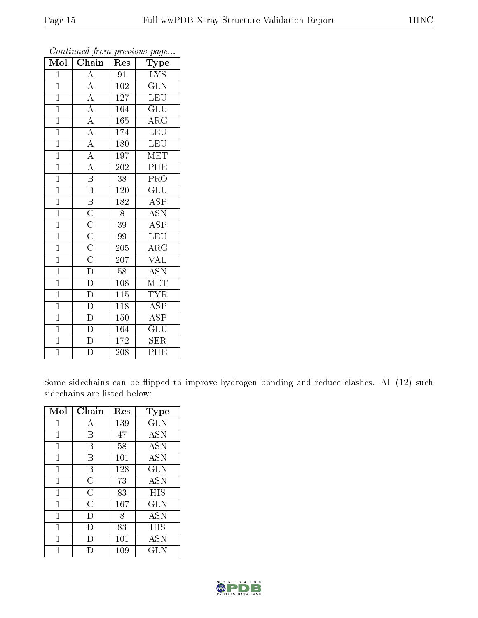| Mol            | $\overline{\text{Chain}}$                                                                                   | Res              | Type                            |
|----------------|-------------------------------------------------------------------------------------------------------------|------------------|---------------------------------|
| $\mathbf{1}$   | $\overline{\rm A}$                                                                                          | 91               | $\overline{\text{L} \text{YS}}$ |
| $\mathbf{1}$   | $\overline{A}$                                                                                              | 102              | <b>GLN</b>                      |
| $\overline{1}$ | $\overline{A}$                                                                                              | 127              | $\overline{\text{LEU}}$         |
| $\overline{1}$ | $\overline{A}$                                                                                              | 164              | <b>GLU</b>                      |
| $\overline{1}$ | $\overline{A}$                                                                                              | 165              | $\overline{\rm{ARG}}$           |
| $\mathbf{1}$   | $\overline{A}$                                                                                              | 174              | <b>LEU</b>                      |
| $\mathbf{1}$   | $\overline{A}$                                                                                              | 180              | <b>LEU</b>                      |
| $\overline{1}$ | $\overline{A}$                                                                                              | 197              | MET                             |
| $\mathbf{1}$   | $\overline{A}$                                                                                              | 202              | $\overline{\rm{PHE}}$           |
| $\overline{1}$ | $\overline{\mathbf{B}}$                                                                                     | 38               | $\overline{\text{PRO}}$         |
| $\overline{1}$ | $\overline{\mathrm{B}}$                                                                                     | 120              | $\overline{\text{GLU}}$         |
| $\overline{1}$ | $\overline{\mathbf{B}}$                                                                                     | $\overline{182}$ | $\overline{\text{ASP}}$         |
| $\overline{1}$ |                                                                                                             | 8                | $\overline{ASN}$                |
| $\overline{1}$ |                                                                                                             | 39               | <b>ASP</b>                      |
| $\overline{1}$ | $\frac{\overline{C}}{\overline{C}}$ $\frac{\overline{C}}{\overline{C}}$ $\frac{\overline{C}}{\overline{D}}$ | 99               | <b>LEU</b>                      |
| $\overline{1}$ |                                                                                                             | 205              | $\rm{ARG}$                      |
| $\overline{1}$ |                                                                                                             | 207              | $\overline{\text{VAL}}$         |
| $\mathbf{1}$   |                                                                                                             | 58               | <b>ASN</b>                      |
| $\overline{1}$ | $\overline{\rm D}$                                                                                          | 108              | $\overline{\text{MET}}$         |
| $\overline{1}$ | $\overline{\mathrm{D}}$                                                                                     | 115              | <b>TYR</b>                      |
| $\overline{1}$ | $\overline{\rm D}$                                                                                          | 118              | $\overline{\text{ASP}}$         |
| $\overline{1}$ | $\overline{\rm D}$                                                                                          | 150              | $\overline{\text{ASP}}$         |
| $\overline{1}$ | $\overline{\rm D}$                                                                                          | 164              | $\overline{{\rm GLU}}$          |
| $\overline{1}$ | $\overline{\rm D}$                                                                                          | 172              | $\overline{\text{SER}}$         |
| $\overline{1}$ | $\overline{\rm D}$                                                                                          | 208              | PHE                             |

Continued from previous page...

Some sidechains can be flipped to improve hydrogen bonding and reduce clashes. All (12) such sidechains are listed below:

| Mol          | Chain          | Res | $_{\rm Type}$ |
|--------------|----------------|-----|---------------|
| 1            | А              | 139 | <b>GLN</b>    |
| 1            | В              | 47  | <b>ASN</b>    |
| 1            | В              | 58  | <b>ASN</b>    |
| 1            | В              | 101 | <b>ASN</b>    |
| $\mathbf{1}$ | В              | 128 | <b>GLN</b>    |
| 1            | C              | 73  | ASN           |
| $\mathbf{1}$ | $\overline{C}$ | 83  | HIS           |
| 1            | $\overline{C}$ | 167 | GLN           |
| 1            | $\Box$         | 8   | ASN           |
| 1            | I)             | 83  | HIS           |
| 1            |                | 101 | <b>ASN</b>    |
|              |                | 109 | $_{\rm GLN}$  |

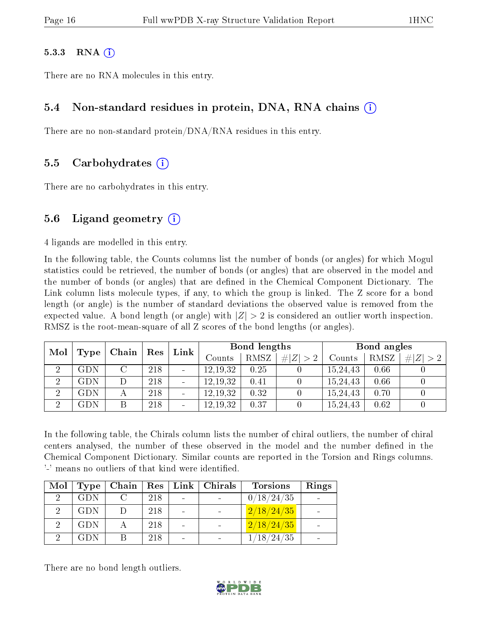#### $5.3.3$  RNA  $(i)$

There are no RNA molecules in this entry.

#### 5.4 Non-standard residues in protein, DNA, RNA chains (i)

There are no non-standard protein/DNA/RNA residues in this entry.

#### 5.5 Carbohydrates (i)

There are no carbohydrates in this entry.

#### 5.6 Ligand geometry  $(i)$

4 ligands are modelled in this entry.

In the following table, the Counts columns list the number of bonds (or angles) for which Mogul statistics could be retrieved, the number of bonds (or angles) that are observed in the model and the number of bonds (or angles) that are defined in the Chemical Component Dictionary. The Link column lists molecule types, if any, to which the group is linked. The Z score for a bond length (or angle) is the number of standard deviations the observed value is removed from the expected value. A bond length (or angle) with  $|Z| > 2$  is considered an outlier worth inspection. RMSZ is the root-mean-square of all Z scores of the bond lengths (or angles).

| Mol                  | Type                 | Link<br>$\operatorname{Res}$<br>Chain |     |                          | Bond lengths |      |             | Bond angles |      |           |
|----------------------|----------------------|---------------------------------------|-----|--------------------------|--------------|------|-------------|-------------|------|-----------|
|                      |                      |                                       |     |                          | Counts       | RMSZ | # $ Z  > 2$ | Counts      | RMSZ | Z >2<br># |
| $\ddot{\phantom{0}}$ | GDN                  |                                       | 218 |                          | 12.19.32     | 0.25 |             | 15,24,43    | 0.66 |           |
| $\overline{2}$       | GDN                  |                                       | 218 |                          | 12, 19, 32   | 0.41 |             | 15,24,43    | 0.66 |           |
| ച                    | $\operatorname{GDN}$ |                                       | 218 |                          | 12, 19, 32   | 0.32 |             | 15,24,43    | 0.70 |           |
| ച                    | GDN                  |                                       | 218 | $\overline{\phantom{a}}$ | 12, 19, 32   | 0.37 |             | 15,24,43    | 0.62 |           |

In the following table, the Chirals column lists the number of chiral outliers, the number of chiral centers analysed, the number of these observed in the model and the number defined in the Chemical Component Dictionary. Similar counts are reported in the Torsion and Rings columns. '-' means no outliers of that kind were identified.

| Mol | Type       | Chain  | $\sim$ Res $^{\prime}$ |                | Link   Chirals | <b>Torsions</b>      | Rings |
|-----|------------|--------|------------------------|----------------|----------------|----------------------|-------|
|     | <b>GDN</b> |        | 218                    | $\blacksquare$ |                | 0/18/24/35           |       |
|     | <b>GDN</b> | $\Box$ | 218                    |                |                | 2/18/24/35           |       |
|     | <b>GDN</b> |        | 218                    |                |                | 2/18/24/35           |       |
|     | <b>GDN</b> | В      | 218                    |                |                | $^\prime 18$ /24 /35 |       |

There are no bond length outliers.

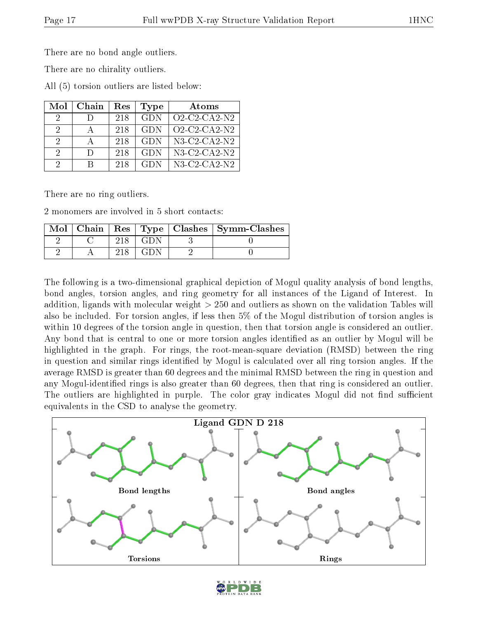There are no bond angle outliers.

There are no chirality outliers.

All (5) torsion outliers are listed below:

| Mol           | Chain  | Res | Type       | Atoms                                                 |
|---------------|--------|-----|------------|-------------------------------------------------------|
| 9             | $\Box$ | 218 | <b>GDN</b> | $O2$ -C <sub>2</sub> -C <sub>A</sub> 2-N <sub>2</sub> |
| $\mathcal{P}$ |        | 218 | <b>GDN</b> | $O2$ -C <sub>2</sub> -C <sub>A</sub> 2-N <sub>2</sub> |
| 2             |        | 218 | <b>GDN</b> | $N3$ -C2-CA2- $N2$                                    |
| $\mathcal{D}$ | $\Box$ | 218 | <b>GDN</b> | $N3$ -C2-CA2- $N2$                                    |
| 9             | R      | 218 | GDN        | $N3$ -C2-CA2- $N2$                                    |

There are no ring outliers.

2 monomers are involved in 5 short contacts:

| $\operatorname{Mol}$ | Chain |  | Res   Type   Clashes   Symm-Clashes |
|----------------------|-------|--|-------------------------------------|
|                      |       |  |                                     |
|                      |       |  |                                     |

The following is a two-dimensional graphical depiction of Mogul quality analysis of bond lengths, bond angles, torsion angles, and ring geometry for all instances of the Ligand of Interest. In addition, ligands with molecular weight > 250 and outliers as shown on the validation Tables will also be included. For torsion angles, if less then 5% of the Mogul distribution of torsion angles is within 10 degrees of the torsion angle in question, then that torsion angle is considered an outlier. Any bond that is central to one or more torsion angles identified as an outlier by Mogul will be highlighted in the graph. For rings, the root-mean-square deviation (RMSD) between the ring in question and similar rings identified by Mogul is calculated over all ring torsion angles. If the average RMSD is greater than 60 degrees and the minimal RMSD between the ring in question and any Mogul-identified rings is also greater than 60 degrees, then that ring is considered an outlier. The outliers are highlighted in purple. The color gray indicates Mogul did not find sufficient equivalents in the CSD to analyse the geometry.



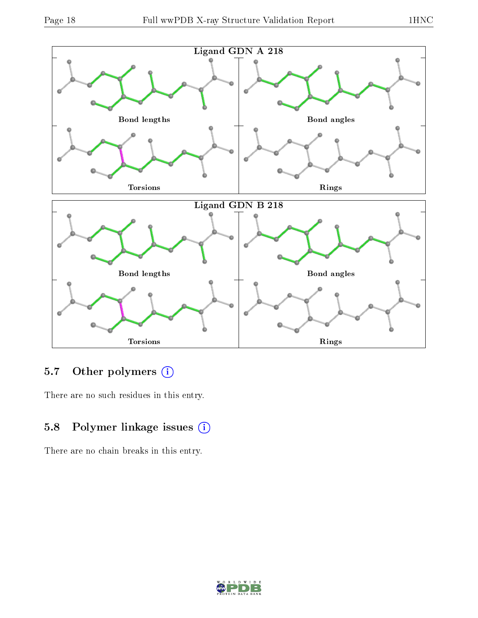

## 5.7 [O](https://www.wwpdb.org/validation/2017/XrayValidationReportHelp#nonstandard_residues_and_ligands)ther polymers (i)

There are no such residues in this entry.

## 5.8 Polymer linkage issues (i)

There are no chain breaks in this entry.